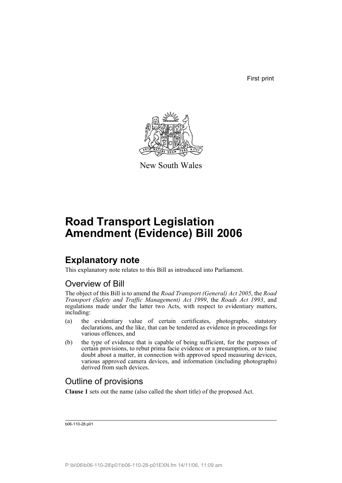First print



New South Wales

# **Road Transport Legislation Amendment (Evidence) Bill 2006**

# **Explanatory note**

This explanatory note relates to this Bill as introduced into Parliament.

## Overview of Bill

The object of this Bill is to amend the *Road Transport (General) Act 2005*, the *Road Transport (Safety and Traffic Management) Act 1999*, the *Roads Act 1993*, and regulations made under the latter two Acts, with respect to evidentiary matters, including:

- (a) the evidentiary value of certain certificates, photographs, statutory declarations, and the like, that can be tendered as evidence in proceedings for various offences, and
- (b) the type of evidence that is capable of being sufficient, for the purposes of certain provisions, to rebut prima facie evidence or a presumption, or to raise doubt about a matter, in connection with approved speed measuring devices, various approved camera devices, and information (including photographs) derived from such devices.

## Outline of provisions

**Clause 1** sets out the name (also called the short title) of the proposed Act.

b06-110-28.p01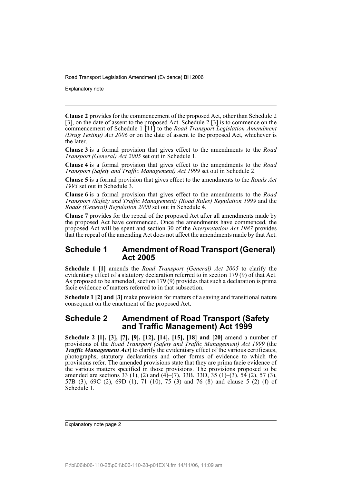Explanatory note

**Clause 2** provides for the commencement of the proposed Act, other than Schedule 2 [3], on the date of assent to the proposed Act. Schedule 2 [3] is to commence on the commencement of Schedule 1 [11] to the *Road Transport Legislation Amendment (Drug Testing) Act 2006* or on the date of assent to the proposed Act, whichever is the later.

**Clause 3** is a formal provision that gives effect to the amendments to the *Road Transport (General) Act 2005* set out in Schedule 1.

**Clause 4** is a formal provision that gives effect to the amendments to the *Road Transport (Safety and Traffic Management) Act 1999* set out in Schedule 2.

**Clause 5** is a formal provision that gives effect to the amendments to the *Roads Act 1993* set out in Schedule 3.

**Clause 6** is a formal provision that gives effect to the amendments to the *Road Transport (Safety and Traffic Management) (Road Rules) Regulation 1999* and the *Roads (General) Regulation 2000* set out in Schedule 4.

**Clause 7** provides for the repeal of the proposed Act after all amendments made by the proposed Act have commenced. Once the amendments have commenced, the proposed Act will be spent and section 30 of the *Interpretation Act 1987* provides that the repeal of the amending Act does not affect the amendments made by that Act.

#### **Schedule 1 Amendment of Road Transport (General) Act 2005**

**Schedule 1 [1]** amends the *Road Transport (General) Act 2005* to clarify the evidentiary effect of a statutory declaration referred to in section 179 (9) of that Act. As proposed to be amended, section 179 (9) provides that such a declaration is prima facie evidence of matters referred to in that subsection.

**Schedule 1 [2] and [3]** make provision for matters of a saving and transitional nature consequent on the enactment of the proposed Act.

### **Schedule 2 Amendment of Road Transport (Safety and Traffic Management) Act 1999**

**Schedule 2 [1], [3], [7], [9], [12], [14], [15], [18] and [20]** amend a number of provisions of the *Road Transport (Safety and Traffic Management) Act 1999* (the *Traffic Management Act*) to clarify the evidentiary effect of the various certificates, photographs, statutory declarations and other forms of evidence to which the provisions refer. The amended provisions state that they are prima facie evidence of the various matters specified in those provisions. The provisions proposed to be amended are sections 33 (1), (2) and (4)–(7), 33B, 33D, 35 (1)–(3),  $54$  (2), 57 (3), 57B (3), 69C (2), 69D (1), 71 (10), 75 (3) and 76 (8) and clause 5 (2) (f) of Schedule 1.

Explanatory note page 2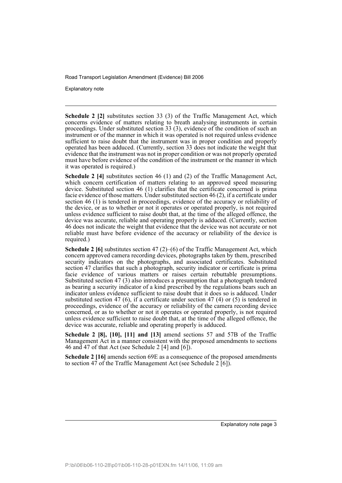Explanatory note

**Schedule 2 [2]** substitutes section 33 (3) of the Traffic Management Act, which concerns evidence of matters relating to breath analysing instruments in certain proceedings. Under substituted section 33 (3), evidence of the condition of such an instrument or of the manner in which it was operated is not required unless evidence sufficient to raise doubt that the instrument was in proper condition and properly operated has been adduced. (Currently, section 33 does not indicate the weight that evidence that the instrument was not in proper condition or was not properly operated must have before evidence of the condition of the instrument or the manner in which it was operated is required.)

**Schedule 2 [4]** substitutes section 46 (1) and (2) of the Traffic Management Act, which concern certification of matters relating to an approved speed measuring device. Substituted section 46 (1) clarifies that the certificate concerned is prima facie evidence of those matters. Under substituted section 46 (2), if a certificate under section 46 (1) is tendered in proceedings, evidence of the accuracy or reliability of the device, or as to whether or not it operates or operated properly, is not required unless evidence sufficient to raise doubt that, at the time of the alleged offence, the device was accurate, reliable and operating properly is adduced. (Currently, section 46 does not indicate the weight that evidence that the device was not accurate or not reliable must have before evidence of the accuracy or reliability of the device is required.)

**Schedule 2 [6]** substitutes section 47 (2)–(6) of the Traffic Management Act, which concern approved camera recording devices, photographs taken by them, prescribed security indicators on the photographs, and associated certificates. Substituted section 47 clarifies that such a photograph, security indicator or certificate is prima facie evidence of various matters or raises certain rebuttable presumptions. Substituted section 47 (3) also introduces a presumption that a photograph tendered as bearing a security indicator of a kind prescribed by the regulations bears such an indicator unless evidence sufficient to raise doubt that it does so is adduced. Under substituted section 47 (6), if a certificate under section 47 (4) or (5) is tendered in proceedings, evidence of the accuracy or reliability of the camera recording device concerned, or as to whether or not it operates or operated properly, is not required unless evidence sufficient to raise doubt that, at the time of the alleged offence, the device was accurate, reliable and operating properly is adduced.

**Schedule 2 [8], [10], [11] and [13]** amend sections 57 and 57B of the Traffic Management Act in a manner consistent with the proposed amendments to sections 46 and 47 of that Act (see Schedule 2 [4] and [6]).

**Schedule 2 [16]** amends section 69E as a consequence of the proposed amendments to section 47 of the Traffic Management Act (see Schedule 2  $\hat{[6]}$ ).

Explanatory note page 3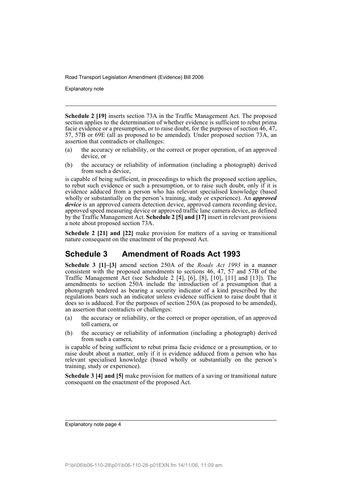Explanatory note

**Schedule 2 [19]** inserts section 73A in the Traffic Management Act. The proposed section applies to the determination of whether evidence is sufficient to rebut prima facie evidence or a presumption, or to raise doubt, for the purposes of section  $\tilde{46}$ , 47, 57, 57B or 69E (all as proposed to be amended). Under proposed section 73A, an assertion that contradicts or challenges:

- (a) the accuracy or reliability, or the correct or proper operation, of an approved device, or
- (b) the accuracy or reliability of information (including a photograph) derived from such a device,

is capable of being sufficient, in proceedings to which the proposed section applies, to rebut such evidence or such a presumption, or to raise such doubt, only if it is evidence adduced from a person who has relevant specialised knowledge (based wholly or substantially on the person's training, study or experience). An *approved device* is an approved camera detection device, approved camera recording device, approved speed measuring device or approved traffic lane camera device, as defined by the Traffic Management Act. **Schedule 2 [5] and [17]** insert in relevant provisions a note about proposed section 73A.

**Schedule 2 [21] and [22]** make provision for matters of a saving or transitional nature consequent on the enactment of the proposed Act.

## **Schedule 3 Amendment of Roads Act 1993**

**Schedule 3 [1]–[3]** amend section 250A of the *Roads Act 1993* in a manner consistent with the proposed amendments to sections 46, 47, 57 and 57B of the Traffic Management Act (see Schedule 2 [4], [6], [8], [10], [11] and [13]). The amendments to section 250A include the introduction of a presumption that a photograph tendered as bearing a security indicator of a kind prescribed by the regulations bears such an indicator unless evidence sufficient to raise doubt that it does so is adduced. For the purposes of section 250A (as proposed to be amended), an assertion that contradicts or challenges:

- (a) the accuracy or reliability, or the correct or proper operation, of an approved toll camera, or
- (b) the accuracy or reliability of information (including a photograph) derived from such a camera,

is capable of being sufficient to rebut prima facie evidence or a presumption, or to raise doubt about a matter, only if it is evidence adduced from a person who has relevant specialised knowledge (based wholly or substantially on the person's training, study or experience).

**Schedule 3 [4] and [5]** make provision for matters of a saving or transitional nature consequent on the enactment of the proposed Act.

Explanatory note page 4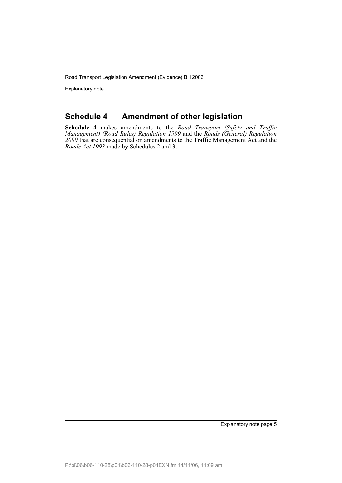Explanatory note

## **Schedule 4 Amendment of other legislation**

**Schedule 4** makes amendments to the *Road Transport (Safety and Traffic Management) (Road Rules) Regulation 1999* and the *Roads (General) Regulation 2000* that are consequential on amendments to the Traffic Management Act and the *Roads Act 1993* made by Schedules 2 and 3.

Explanatory note page 5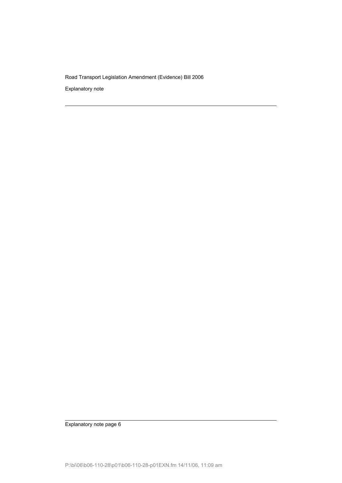Explanatory note

Explanatory note page 6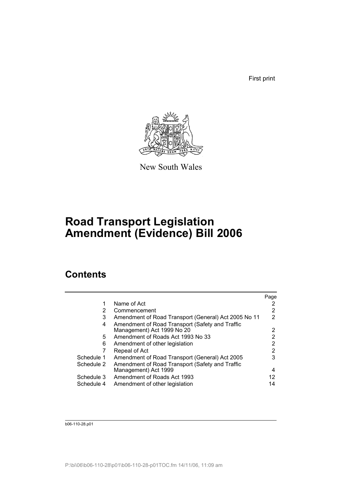First print



New South Wales

# **Road Transport Legislation Amendment (Evidence) Bill 2006**

# **Contents**

|            |                                                      | Page |
|------------|------------------------------------------------------|------|
|            | Name of Act                                          |      |
| 2          | Commencement                                         | 2    |
| 3          | Amendment of Road Transport (General) Act 2005 No 11 | 2    |
| 4          | Amendment of Road Transport (Safety and Traffic      |      |
|            | Management) Act 1999 No 20                           | 2    |
| 5.         | Amendment of Roads Act 1993 No 33                    | 2    |
| 6          | Amendment of other legislation                       | 2    |
|            | Repeal of Act                                        | 2    |
| Schedule 1 | Amendment of Road Transport (General) Act 2005       | 3    |
| Schedule 2 | Amendment of Road Transport (Safety and Traffic      |      |
|            | Management) Act 1999                                 | 4    |
| Schedule 3 | Amendment of Roads Act 1993                          | 12   |
| Schedule 4 | Amendment of other legislation                       | 14   |

b06-110-28.p01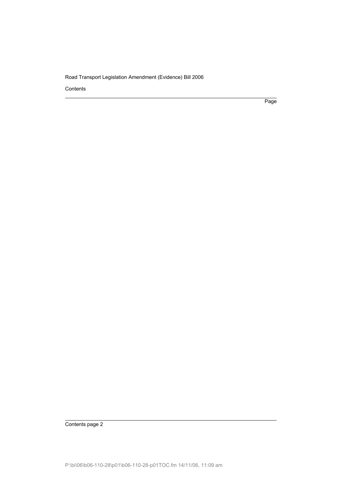Contents

Page

Contents page 2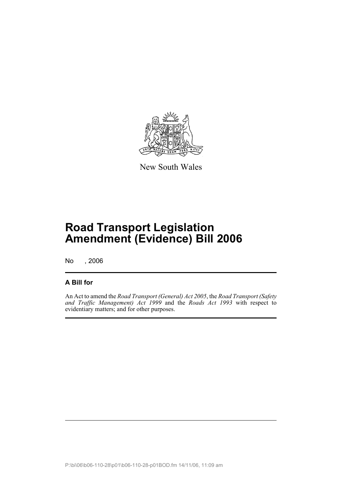

New South Wales

# **Road Transport Legislation Amendment (Evidence) Bill 2006**

No , 2006

## **A Bill for**

An Act to amend the *Road Transport (General) Act 2005*, the *Road Transport (Safety and Traffic Management) Act 1999* and the *Roads Act 1993* with respect to evidentiary matters; and for other purposes.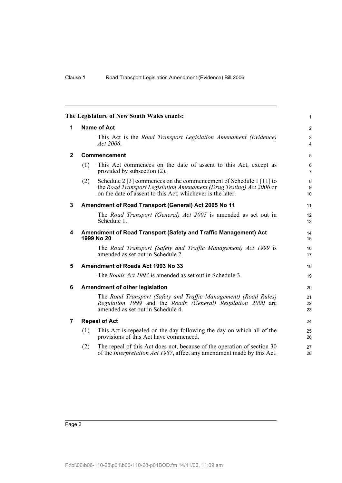|                |     | The Legislature of New South Wales enacts:                                                                                                                                                              | $\mathbf{1}$                   |
|----------------|-----|---------------------------------------------------------------------------------------------------------------------------------------------------------------------------------------------------------|--------------------------------|
| $\mathbf 1$    |     | <b>Name of Act</b>                                                                                                                                                                                      | 2                              |
|                |     | This Act is the Road Transport Legislation Amendment (Evidence)<br>Act 2006.                                                                                                                            | $\mathbf{3}$<br>$\overline{4}$ |
| $\mathbf{2}$   |     | <b>Commencement</b>                                                                                                                                                                                     | 5                              |
|                | (1) | This Act commences on the date of assent to this Act, except as<br>provided by subsection (2).                                                                                                          | 6<br>$\overline{7}$            |
|                | (2) | Schedule 2 [3] commences on the commencement of Schedule 1 [11] to<br>the Road Transport Legislation Amendment (Drug Testing) Act 2006 or<br>on the date of assent to this Act, whichever is the later. | $\bf 8$<br>9<br>10             |
| 3              |     | Amendment of Road Transport (General) Act 2005 No 11                                                                                                                                                    | 11                             |
|                |     | The Road Transport (General) Act 2005 is amended as set out in<br>Schedule 1.                                                                                                                           | 12<br>13                       |
| 4              |     | Amendment of Road Transport (Safety and Traffic Management) Act<br>1999 No 20                                                                                                                           | 14<br>15                       |
|                |     | The Road Transport (Safety and Traffic Management) Act 1999 is<br>amended as set out in Schedule 2.                                                                                                     | 16<br>17                       |
| 5              |     | Amendment of Roads Act 1993 No 33                                                                                                                                                                       | 18                             |
|                |     | The <i>Roads Act 1993</i> is amended as set out in Schedule 3.                                                                                                                                          | 19                             |
| 6              |     | Amendment of other legislation                                                                                                                                                                          | 20                             |
|                |     | The Road Transport (Safety and Traffic Management) (Road Rules)<br>Regulation 1999 and the Roads (General) Regulation 2000 are<br>amended as set out in Schedule 4.                                     | 21<br>22<br>23                 |
| $\overline{7}$ |     | <b>Repeal of Act</b>                                                                                                                                                                                    | 24                             |
|                | (1) | This Act is repealed on the day following the day on which all of the<br>provisions of this Act have commenced.                                                                                         | 25<br>26                       |
|                | (2) | The repeal of this Act does not, because of the operation of section 30<br>of the <i>Interpretation Act 1987</i> , affect any amendment made by this Act.                                               | 27<br>28                       |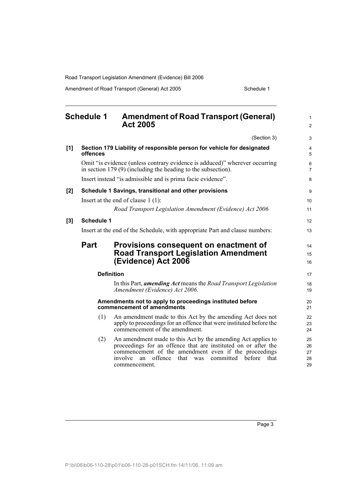Amendment of Road Transport (General) Act 2005 Schedule 1

|       | <b>Schedule 1</b> | <b>Amendment of Road Transport (General)</b><br><b>Act 2005</b>                                                                                                                                                                                                                    | 1<br>$\overline{c}$        |
|-------|-------------------|------------------------------------------------------------------------------------------------------------------------------------------------------------------------------------------------------------------------------------------------------------------------------------|----------------------------|
|       |                   | (Section 3)                                                                                                                                                                                                                                                                        | 3                          |
| [1]   | offences          | Section 179 Liability of responsible person for vehicle for designated                                                                                                                                                                                                             | 4<br>5                     |
|       |                   | Omit "is evidence (unless contrary evidence is adduced)" wherever occurring<br>in section $179(9)$ (including the heading to the subsection).                                                                                                                                      | 6<br>$\overline{7}$        |
|       |                   | Insert instead "is admissible and is prima facie evidence".                                                                                                                                                                                                                        | 8                          |
| $[2]$ |                   | Schedule 1 Savings, transitional and other provisions                                                                                                                                                                                                                              | 9                          |
|       |                   | Insert at the end of clause $1(1)$ :                                                                                                                                                                                                                                               | 10                         |
|       |                   | Road Transport Legislation Amendment (Evidence) Act 2006                                                                                                                                                                                                                           | 11                         |
| $[3]$ | <b>Schedule 1</b> |                                                                                                                                                                                                                                                                                    | 12                         |
|       |                   | Insert at the end of the Schedule, with appropriate Part and clause numbers:                                                                                                                                                                                                       | 13                         |
|       | <b>Part</b>       | Provisions consequent on enactment of<br><b>Road Transport Legislation Amendment</b><br>(Evidence) Act 2006                                                                                                                                                                        | 14<br>15<br>16             |
|       |                   | <b>Definition</b>                                                                                                                                                                                                                                                                  | 17                         |
|       |                   | In this Part, <i>amending Act</i> means the <i>Road Transport Legislation</i><br>Amendment (Evidence) Act 2006.                                                                                                                                                                    | 18<br>19                   |
|       |                   | Amendments not to apply to proceedings instituted before<br>commencement of amendments                                                                                                                                                                                             | 20<br>21                   |
|       | (1)               | An amendment made to this Act by the amending Act does not<br>apply to proceedings for an offence that were instituted before the<br>commencement of the amendment.                                                                                                                | 22<br>23<br>24             |
|       | (2)               | An amendment made to this Act by the amending Act applies to<br>proceedings for an offence that are instituted on or after the<br>commencement of the amendment even if the proceedings<br>offence<br>that<br>committed<br>hefore<br>involve<br>that<br>an<br>was<br>commencement. | 25<br>26<br>27<br>28<br>29 |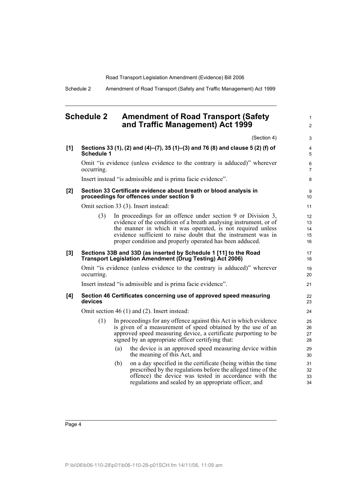1

Schedule 2 Amendment of Road Transport (Safety and Traffic Management) Act 1999

## **Schedule 2 Amendment of Road Transport (Safety and Traffic Management) Act 1999**

|          |                   |     | and Traffic Management) Act 1999                                                                                                                                                                                                                                                                                              | $\overline{2}$               |
|----------|-------------------|-----|-------------------------------------------------------------------------------------------------------------------------------------------------------------------------------------------------------------------------------------------------------------------------------------------------------------------------------|------------------------------|
|          |                   |     | (Section 4)                                                                                                                                                                                                                                                                                                                   | 3                            |
| [1]      | <b>Schedule 1</b> |     | Sections 33 (1), (2) and (4)–(7), 35 (1)–(3) and 76 (8) and clause 5 (2) (f) of                                                                                                                                                                                                                                               | $\overline{\mathbf{4}}$<br>5 |
|          | occurring.        |     | Omit "is evidence (unless evidence to the contrary is adduced)" wherever                                                                                                                                                                                                                                                      | 6<br>$\overline{7}$          |
|          |                   |     | Insert instead "is admissible and is prima facie evidence".                                                                                                                                                                                                                                                                   | 8                            |
| [2]      |                   |     | Section 33 Certificate evidence about breath or blood analysis in<br>proceedings for offences under section 9                                                                                                                                                                                                                 | 9<br>10                      |
|          |                   |     | Omit section 33 (3). Insert instead:                                                                                                                                                                                                                                                                                          | 11                           |
|          | (3)               |     | In proceedings for an offence under section 9 or Division 3,<br>evidence of the condition of a breath analysing instrument, or of<br>the manner in which it was operated, is not required unless<br>evidence sufficient to raise doubt that the instrument was in<br>proper condition and properly operated has been adduced. | 12<br>13<br>14<br>15<br>16   |
| $^{[3]}$ |                   |     | Sections 33B and 33D (as inserted by Schedule 1 [11] to the Road<br>Transport Legislation Amendment (Drug Testing) Act 2006)                                                                                                                                                                                                  | 17<br>18                     |
|          | occurring.        |     | Omit "is evidence (unless evidence to the contrary is adduced)" wherever                                                                                                                                                                                                                                                      | 19<br>20                     |
|          |                   |     | Insert instead "is admissible and is prima facie evidence".                                                                                                                                                                                                                                                                   | 21                           |
| [4]      | devices           |     | Section 46 Certificates concerning use of approved speed measuring                                                                                                                                                                                                                                                            | 22<br>23                     |
|          |                   |     | Omit section 46 (1) and (2). Insert instead:                                                                                                                                                                                                                                                                                  | 24                           |
|          | (1)               |     | In proceedings for any offence against this Act in which evidence<br>is given of a measurement of speed obtained by the use of an<br>approved speed measuring device, a certificate purporting to be<br>signed by an appropriate officer certifying that:                                                                     | 25<br>26<br>27<br>28         |
|          |                   | (a) | the device is an approved speed measuring device within<br>the meaning of this Act, and                                                                                                                                                                                                                                       | 29<br>30                     |
|          |                   | (b) | on a day specified in the certificate (being within the time<br>prescribed by the regulations before the alleged time of the<br>offence) the device was tested in accordance with the<br>regulations and sealed by an appropriate officer, and                                                                                | 31<br>32<br>33<br>34         |
|          |                   |     |                                                                                                                                                                                                                                                                                                                               |                              |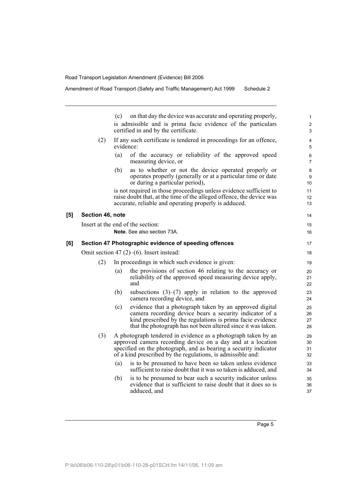Amendment of Road Transport (Safety and Traffic Management) Act 1999 Schedule 2

(c) on that day the device was accurate and operating properly, is admissible and is prima facie evidence of the particulars certified in and by the certificate. (2) If any such certificate is tendered in proceedings for an offence, evidence: (a) of the accuracy or reliability of the approved speed measuring device, or (b) as to whether or not the device operated properly or operates properly (generally or at a particular time or date or during a particular period), is not required in those proceedings unless evidence sufficient to raise doubt that, at the time of the alleged offence, the device was accurate, reliable and operating properly is adduced. **[5] Section 46, note** Insert at the end of the section: **Note.** See also section 73A. **[6] Section 47 Photographic evidence of speeding offences** Omit section 47 (2)–(6). Insert instead: (2) In proceedings in which such evidence is given: (a) the provisions of section 46 relating to the accuracy or reliability of the approved speed measuring device apply, and (b) subsections (3)–(7) apply in relation to the approved camera recording device, and (c) evidence that a photograph taken by an approved digital camera recording device bears a security indicator of a kind prescribed by the regulations is prima facie evidence that the photograph has not been altered since it was taken. (3) A photograph tendered in evidence as a photograph taken by an approved camera recording device on a day and at a location specified on the photograph, and as bearing a security indicator of a kind prescribed by the regulations, is admissible and: (a) is to be presumed to have been so taken unless evidence sufficient to raise doubt that it was so taken is adduced, and (b) is to be presumed to bear such a security indicator unless evidence that is sufficient to raise doubt that it does so is adduced, and 1  $\overline{2}$ 3 4 5 6 7 8 9 10 11 12 13 14 15 16 17 18 19  $20$ 21 22 23 24 25 26 27 28 29 30 31 32 33 34 35 36 37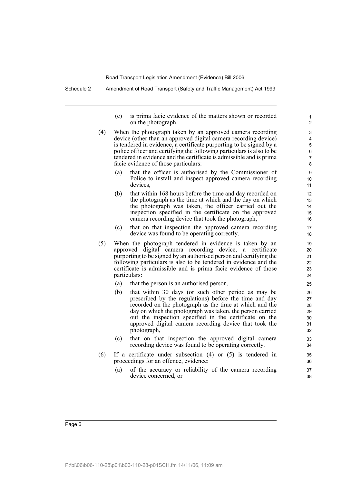Schedule 2 Amendment of Road Transport (Safety and Traffic Management) Act 1999

(c) is prima facie evidence of the matters shown or recorded on the photograph.

- (4) When the photograph taken by an approved camera recording device (other than an approved digital camera recording device) is tendered in evidence, a certificate purporting to be signed by a police officer and certifying the following particulars is also to be tendered in evidence and the certificate is admissible and is prima facie evidence of those particulars:
	- (a) that the officer is authorised by the Commissioner of Police to install and inspect approved camera recording devices,
	- (b) that within 168 hours before the time and day recorded on the photograph as the time at which and the day on which the photograph was taken, the officer carried out the inspection specified in the certificate on the approved camera recording device that took the photograph,
	- (c) that on that inspection the approved camera recording device was found to be operating correctly.
- (5) When the photograph tendered in evidence is taken by an approved digital camera recording device, a certificate purporting to be signed by an authorised person and certifying the following particulars is also to be tendered in evidence and the certificate is admissible and is prima facie evidence of those particulars:
	- (a) that the person is an authorised person,
	- (b) that within 30 days (or such other period as may be prescribed by the regulations) before the time and day recorded on the photograph as the time at which and the day on which the photograph was taken, the person carried out the inspection specified in the certificate on the approved digital camera recording device that took the photograph,
	- (c) that on that inspection the approved digital camera recording device was found to be operating correctly.
- (6) If a certificate under subsection (4) or (5) is tendered in proceedings for an offence, evidence:
	- (a) of the accuracy or reliability of the camera recording device concerned, or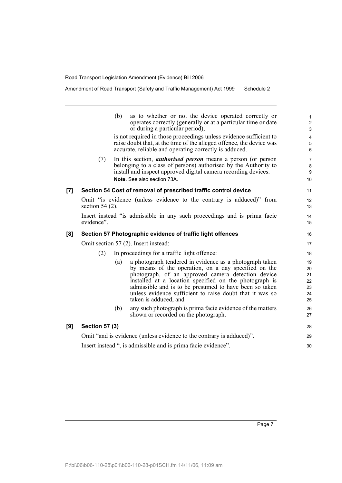|  |  |  | Amendment of Road Transport (Safety and Traffic Management) Act 1999 |  | Schedule 2 |
|--|--|--|----------------------------------------------------------------------|--|------------|
|--|--|--|----------------------------------------------------------------------|--|------------|

|     |                       | (b) | as to whether or not the device operated correctly or<br>operates correctly (generally or at a particular time or date<br>or during a particular period),<br>is not required in those proceedings unless evidence sufficient to<br>raise doubt that, at the time of the alleged offence, the device was<br>accurate, reliable and operating correctly is adduced.              | $\mathbf{1}$<br>$\overline{\mathbf{c}}$<br>3<br>$\overline{4}$<br>5<br>6 |
|-----|-----------------------|-----|--------------------------------------------------------------------------------------------------------------------------------------------------------------------------------------------------------------------------------------------------------------------------------------------------------------------------------------------------------------------------------|--------------------------------------------------------------------------|
|     | (7)                   |     | In this section, <i>authorised person</i> means a person (or person<br>belonging to a class of persons) authorised by the Authority to<br>install and inspect approved digital camera recording devices.<br>Note. See also section 73A.                                                                                                                                        | $\overline{7}$<br>8<br>9<br>10                                           |
| [7] |                       |     | Section 54 Cost of removal of prescribed traffic control device                                                                                                                                                                                                                                                                                                                | 11                                                                       |
|     | section $54(2)$ .     |     | Omit "is evidence (unless evidence to the contrary is adduced)" from                                                                                                                                                                                                                                                                                                           | 12<br>13                                                                 |
|     | evidence".            |     | Insert instead "is admissible in any such proceedings and is prima facie                                                                                                                                                                                                                                                                                                       | 14<br>15                                                                 |
| [8] |                       |     | Section 57 Photographic evidence of traffic light offences                                                                                                                                                                                                                                                                                                                     | 16                                                                       |
|     |                       |     | Omit section 57 (2). Insert instead:                                                                                                                                                                                                                                                                                                                                           | 17                                                                       |
|     | (2)                   |     | In proceedings for a traffic light offence:                                                                                                                                                                                                                                                                                                                                    | 18                                                                       |
|     |                       | (a) | a photograph tendered in evidence as a photograph taken<br>by means of the operation, on a day specified on the<br>photograph, of an approved camera detection device<br>installed at a location specified on the photograph is<br>admissible and is to be presumed to have been so taken<br>unless evidence sufficient to raise doubt that it was so<br>taken is adduced, and | 19<br>20<br>21<br>22<br>23<br>24<br>25                                   |
|     |                       | (b) | any such photograph is prima facie evidence of the matters<br>shown or recorded on the photograph.                                                                                                                                                                                                                                                                             | 26<br>27                                                                 |
| [9] | <b>Section 57 (3)</b> |     |                                                                                                                                                                                                                                                                                                                                                                                | 28                                                                       |
|     |                       |     | Omit "and is evidence (unless evidence to the contrary is adduced)".                                                                                                                                                                                                                                                                                                           | 29                                                                       |
|     |                       |     | Insert instead ", is admissible and is prima facie evidence".                                                                                                                                                                                                                                                                                                                  | 30                                                                       |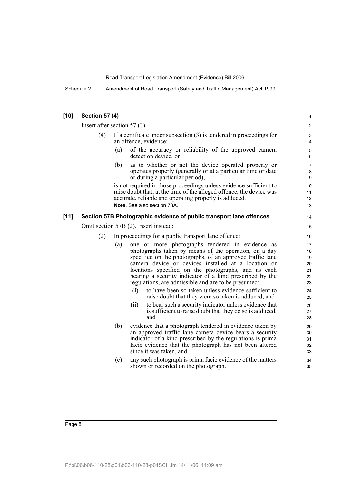Schedule 2 Amendment of Road Transport (Safety and Traffic Management) Act 1999

#### **[10] Section 57 (4)** Insert after section 57 (3): (4) If a certificate under subsection (3) is tendered in proceedings for an offence, evidence: (a) of the accuracy or reliability of the approved camera detection device, or (b) as to whether or not the device operated properly or operates properly (generally or at a particular time or date or during a particular period), is not required in those proceedings unless evidence sufficient to raise doubt that, at the time of the alleged offence, the device was accurate, reliable and operating properly is adduced. **Note.** See also section 73A. **[11] Section 57B Photographic evidence of public transport lane offences** Omit section 57B (2). Insert instead: (2) In proceedings for a public transport lane offence: (a) one or more photographs tendered in evidence as photographs taken by means of the operation, on a day specified on the photographs, of an approved traffic lane camera device or devices installed at a location or locations specified on the photographs, and as each bearing a security indicator of a kind prescribed by the regulations, are admissible and are to be presumed: (i) to have been so taken unless evidence sufficient to raise doubt that they were so taken is adduced, and (ii) to bear such a security indicator unless evidence that is sufficient to raise doubt that they do so is adduced, and (b) evidence that a photograph tendered in evidence taken by an approved traffic lane camera device bears a security indicator of a kind prescribed by the regulations is prima facie evidence that the photograph has not been altered since it was taken, and (c) any such photograph is prima facie evidence of the matters shown or recorded on the photograph. 1  $\mathfrak{p}$ 3 4 5 6 7 8 **9** 10 11 12 13 14 15 16 17 18 19 20 21 22 23 24 25 26 27 28 29 30 31 32 33 34 35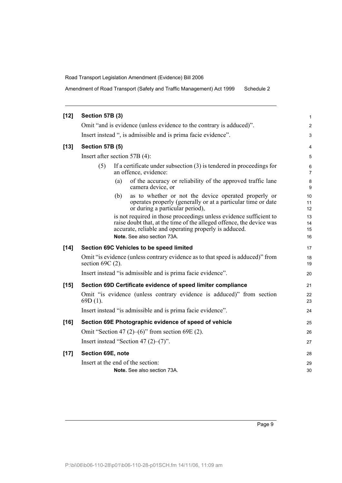Amendment of Road Transport (Safety and Traffic Management) Act 1999 Schedule 2

| $[12]$ | <b>Section 57B (3)</b> |                                                                                                                                                                                                                                    | $\mathbf{1}$         |
|--------|------------------------|------------------------------------------------------------------------------------------------------------------------------------------------------------------------------------------------------------------------------------|----------------------|
|        |                        | Omit "and is evidence (unless evidence to the contrary is adduced)".                                                                                                                                                               | $\overline{c}$       |
|        |                        | Insert instead ", is admissible and is prima facie evidence".                                                                                                                                                                      | 3                    |
| $[13]$ | <b>Section 57B (5)</b> |                                                                                                                                                                                                                                    | 4                    |
|        |                        | Insert after section 57B (4):                                                                                                                                                                                                      | 5                    |
|        | (5)                    | If a certificate under subsection $(3)$ is tendered in proceedings for<br>an offence, evidence:                                                                                                                                    | 6<br>$\overline{7}$  |
|        |                        | of the accuracy or reliability of the approved traffic lane<br>(a)<br>camera device, or                                                                                                                                            | 8<br>9               |
|        |                        | as to whether or not the device operated properly or<br>(b)<br>operates properly (generally or at a particular time or date<br>or during a particular period),                                                                     | 10<br>11<br>12       |
|        |                        | is not required in those proceedings unless evidence sufficient to<br>raise doubt that, at the time of the alleged offence, the device was<br>accurate, reliable and operating properly is adduced.<br>Note. See also section 73A. | 13<br>14<br>15<br>16 |
| $[14]$ |                        | Section 69C Vehicles to be speed limited                                                                                                                                                                                           | 17                   |
|        | section $69C(2)$ .     | Omit "is evidence (unless contrary evidence as to that speed is adduced)" from                                                                                                                                                     | 18<br>19             |
|        |                        | Insert instead "is admissible and is prima facie evidence".                                                                                                                                                                        | 20                   |
| $[15]$ |                        | Section 69D Certificate evidence of speed limiter compliance                                                                                                                                                                       | 21                   |
|        | $69D(1)$ .             | Omit "is evidence (unless contrary evidence is adduced)" from section                                                                                                                                                              | 22<br>23             |
|        |                        | Insert instead "is admissible and is prima facie evidence".                                                                                                                                                                        | 24                   |
| $[16]$ |                        | Section 69E Photographic evidence of speed of vehicle                                                                                                                                                                              | 25                   |
|        |                        | Omit "Section 47 (2)–(6)" from section 69E (2).                                                                                                                                                                                    | 26                   |
|        |                        | Insert instead "Section 47 $(2)-(7)$ ".                                                                                                                                                                                            | 27                   |
| $[17]$ | Section 69E, note      |                                                                                                                                                                                                                                    | 28                   |
|        |                        | Insert at the end of the section:<br><b>Note.</b> See also section 73A.                                                                                                                                                            | 29<br>30             |
|        |                        |                                                                                                                                                                                                                                    |                      |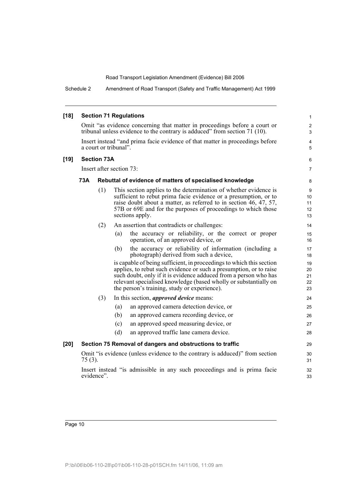Schedule 2 Amendment of Road Transport (Safety and Traffic Management) Act 1999

| $[18]$ |         |                    |                          | <b>Section 71 Regulations</b>                                                                                                                                                                                                                                                                                                      | 1                            |
|--------|---------|--------------------|--------------------------|------------------------------------------------------------------------------------------------------------------------------------------------------------------------------------------------------------------------------------------------------------------------------------------------------------------------------------|------------------------------|
|        |         |                    |                          | Omit "as evidence concerning that matter in proceedings before a court or<br>tribunal unless evidence to the contrary is adduced" from section 71 (10).                                                                                                                                                                            | $\overline{\mathbf{c}}$<br>3 |
|        |         |                    | a court or tribunal".    | Insert instead "and prima facie evidence of that matter in proceedings before                                                                                                                                                                                                                                                      | 4<br>5                       |
| $[19]$ |         | <b>Section 73A</b> |                          |                                                                                                                                                                                                                                                                                                                                    | 6                            |
|        |         |                    | Insert after section 73: |                                                                                                                                                                                                                                                                                                                                    | 7                            |
|        | 73A     |                    |                          | Rebuttal of evidence of matters of specialised knowledge                                                                                                                                                                                                                                                                           | 8                            |
|        |         | (1)                |                          | This section applies to the determination of whether evidence is<br>sufficient to rebut prima facie evidence or a presumption, or to<br>raise doubt about a matter, as referred to in section 46, 47, 57,<br>57B or 69E and for the purposes of proceedings to which those<br>sections apply.                                      | 9<br>10<br>11<br>12<br>13    |
|        |         | (2)                |                          | An assertion that contradicts or challenges:                                                                                                                                                                                                                                                                                       | 14                           |
|        |         |                    | (a)                      | the accuracy or reliability, or the correct or proper<br>operation, of an approved device, or                                                                                                                                                                                                                                      | 15<br>16                     |
|        |         |                    | (b)                      | the accuracy or reliability of information (including a<br>photograph) derived from such a device,                                                                                                                                                                                                                                 | 17<br>18                     |
|        |         |                    |                          | is capable of being sufficient, in proceedings to which this section<br>applies, to rebut such evidence or such a presumption, or to raise<br>such doubt, only if it is evidence adduced from a person who has<br>relevant specialised knowledge (based wholly or substantially on<br>the person's training, study or experience). | 19<br>20<br>21<br>22<br>23   |
|        |         | (3)                |                          | In this section, <i>approved device</i> means:                                                                                                                                                                                                                                                                                     | 24                           |
|        |         |                    | (a)                      | an approved camera detection device, or                                                                                                                                                                                                                                                                                            | 25                           |
|        |         |                    | (b)                      | an approved camera recording device, or                                                                                                                                                                                                                                                                                            | 26                           |
|        |         |                    | (c)                      | an approved speed measuring device, or                                                                                                                                                                                                                                                                                             | 27                           |
|        |         |                    | (d)                      | an approved traffic lane camera device.                                                                                                                                                                                                                                                                                            | 28                           |
| [20]   |         |                    |                          | Section 75 Removal of dangers and obstructions to traffic                                                                                                                                                                                                                                                                          | 29                           |
|        | 75 (3). |                    |                          | Omit "is evidence (unless evidence to the contrary is adduced)" from section                                                                                                                                                                                                                                                       | 30<br>31                     |
|        |         | evidence".         |                          | Insert instead "is admissible in any such proceedings and is prima facie                                                                                                                                                                                                                                                           | 32<br>33                     |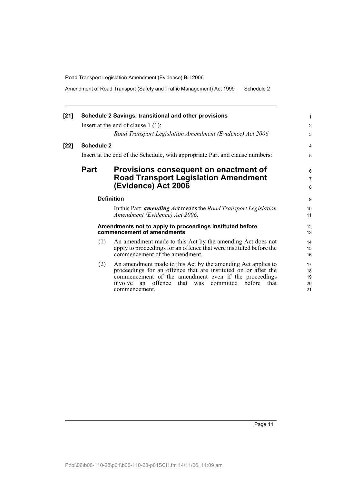Amendment of Road Transport (Safety and Traffic Management) Act 1999 Schedule 2

| $[21]$ |                   | Schedule 2 Savings, transitional and other provisions                                                           | $\mathbf{1}$   |
|--------|-------------------|-----------------------------------------------------------------------------------------------------------------|----------------|
|        |                   | Insert at the end of clause $1(1)$ :                                                                            | $\overline{2}$ |
|        |                   | Road Transport Legislation Amendment (Evidence) Act 2006                                                        | 3              |
| $[22]$ | <b>Schedule 2</b> |                                                                                                                 | 4              |
|        |                   | Insert at the end of the Schedule, with appropriate Part and clause numbers:                                    | 5              |
|        | <b>Part</b>       | Provisions consequent on enactment of                                                                           | 6              |
|        |                   | <b>Road Transport Legislation Amendment</b>                                                                     | $\overline{7}$ |
|        |                   | (Evidence) Act 2006                                                                                             | 8              |
|        |                   | <b>Definition</b>                                                                                               | 9              |
|        |                   | In this Part, <i>amending Act</i> means the <i>Road Transport Legislation</i><br>Amendment (Evidence) Act 2006. | 10<br>11       |
|        |                   | Amendments not to apply to proceedings instituted before<br>commencement of amendments                          | 12<br>13       |
|        | (1)               | An amendment made to this Act by the amending Act does not                                                      | 14             |
|        |                   | apply to proceedings for an offence that were instituted before the<br>commencement of the amendment.           | 15<br>16       |
|        | (2)               | An amendment made to this Act by the amending Act applies to                                                    | 17             |
|        |                   | proceedings for an offence that are instituted on or after the                                                  | 18             |
|        |                   | commencement of the amendment even if the proceedings                                                           | 19             |
|        |                   | committed before<br>offence<br>that<br>was<br>that<br>involve<br>an                                             | 20             |
|        |                   | commencement.                                                                                                   | 21             |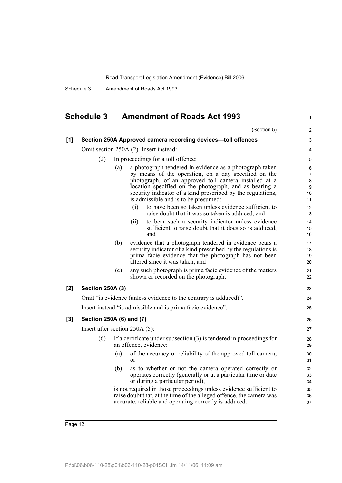Schedule 3 Amendment of Roads Act 1993

|       | <b>Schedule 3</b>                |     | <b>Amendment of Roads Act 1993</b>                                                                                                                                                                                                                                                                                                        | $\mathbf{1}$                              |
|-------|----------------------------------|-----|-------------------------------------------------------------------------------------------------------------------------------------------------------------------------------------------------------------------------------------------------------------------------------------------------------------------------------------------|-------------------------------------------|
|       |                                  |     | (Section 5)                                                                                                                                                                                                                                                                                                                               | 2                                         |
| [1]   |                                  |     | Section 250A Approved camera recording devices-toll offences                                                                                                                                                                                                                                                                              | 3                                         |
|       |                                  |     | Omit section 250A (2). Insert instead:                                                                                                                                                                                                                                                                                                    | 4                                         |
|       | (2)                              |     | In proceedings for a toll offence:                                                                                                                                                                                                                                                                                                        | 5                                         |
|       |                                  | (a) | a photograph tendered in evidence as a photograph taken<br>by means of the operation, on a day specified on the<br>photograph, of an approved toll camera installed at a<br>location specified on the photograph, and as bearing a<br>security indicator of a kind prescribed by the regulations,<br>is admissible and is to be presumed: | 6<br>$\overline{7}$<br>8<br>9<br>10<br>11 |
|       |                                  |     | (i)<br>to have been so taken unless evidence sufficient to<br>raise doubt that it was so taken is adduced, and                                                                                                                                                                                                                            | 12<br>13                                  |
|       |                                  |     | to bear such a security indicator unless evidence<br>(i)<br>sufficient to raise doubt that it does so is adduced,<br>and                                                                                                                                                                                                                  | 14<br>15<br>16                            |
|       |                                  | (b) | evidence that a photograph tendered in evidence bears a<br>security indicator of a kind prescribed by the regulations is<br>prima facie evidence that the photograph has not been<br>altered since it was taken, and                                                                                                                      | 17<br>18<br>19<br>20                      |
|       |                                  | (c) | any such photograph is prima facie evidence of the matters<br>shown or recorded on the photograph.                                                                                                                                                                                                                                        | 21<br>22                                  |
| [2]   | <b>Section 250A (3)</b>          |     |                                                                                                                                                                                                                                                                                                                                           | 23                                        |
|       |                                  |     | Omit "is evidence (unless evidence to the contrary is adduced)".                                                                                                                                                                                                                                                                          | 24                                        |
|       |                                  |     | Insert instead "is admissible and is prima facie evidence".                                                                                                                                                                                                                                                                               | 25                                        |
| $[3]$ | Section 250A (6) and (7)         |     |                                                                                                                                                                                                                                                                                                                                           | 26                                        |
|       | Insert after section $250A(5)$ : |     |                                                                                                                                                                                                                                                                                                                                           | 27                                        |
|       | (6)                              |     | If a certificate under subsection $(3)$ is tendered in proceedings for<br>an offence, evidence:                                                                                                                                                                                                                                           | 28<br>29                                  |
|       |                                  | (a) | of the accuracy or reliability of the approved toll camera,<br>or                                                                                                                                                                                                                                                                         | 30<br>31                                  |
|       |                                  | (b) | as to whether or not the camera operated correctly or<br>operates correctly (generally or at a particular time or date<br>or during a particular period),                                                                                                                                                                                 | 32<br>33<br>34                            |
|       |                                  |     | is not required in those proceedings unless evidence sufficient to<br>raise doubt that, at the time of the alleged offence, the camera was<br>accurate, reliable and operating correctly is adduced.                                                                                                                                      | 35<br>36<br>37                            |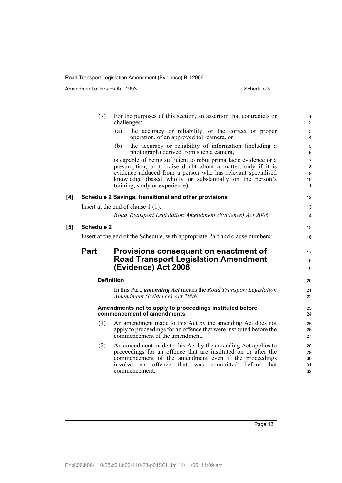Amendment of Roads Act 1993 Schedule 3

|     | (7)               | For the purposes of this section, an assertion that contradicts or<br>challenges:                                                                                                                                                                                                               | $\mathbf{1}$<br>$\overline{2}$             |
|-----|-------------------|-------------------------------------------------------------------------------------------------------------------------------------------------------------------------------------------------------------------------------------------------------------------------------------------------|--------------------------------------------|
|     |                   | (a)<br>the accuracy or reliability, or the correct or proper<br>operation, of an approved toll camera, or                                                                                                                                                                                       | $\mathsf 3$<br>$\overline{4}$              |
|     |                   | the accuracy or reliability of information (including a<br>(b)<br>photograph) derived from such a camera,                                                                                                                                                                                       | $\sqrt{5}$<br>$\,6\,$                      |
|     |                   | is capable of being sufficient to rebut prima facie evidence or a<br>presumption, or to raise doubt about a matter, only if it is<br>evidence adduced from a person who has relevant specialised<br>knowledge (based wholly or substantially on the person's<br>training, study or experience). | $\overline{7}$<br>$\bf 8$<br>9<br>10<br>11 |
| [4] |                   | Schedule 2 Savings, transitional and other provisions                                                                                                                                                                                                                                           | 12                                         |
|     |                   | Insert at the end of clause $1(1)$ :                                                                                                                                                                                                                                                            | 13                                         |
|     |                   | Road Transport Legislation Amendment (Evidence) Act 2006                                                                                                                                                                                                                                        | 14                                         |
| [5] | <b>Schedule 2</b> |                                                                                                                                                                                                                                                                                                 | 15                                         |
|     |                   | Insert at the end of the Schedule, with appropriate Part and clause numbers:                                                                                                                                                                                                                    | 16                                         |
|     | <b>Part</b>       | Provisions consequent on enactment of                                                                                                                                                                                                                                                           | 17                                         |
|     |                   | <b>Road Transport Legislation Amendment</b><br>(Evidence) Act 2006                                                                                                                                                                                                                              | 18<br>19                                   |
|     |                   | <b>Definition</b>                                                                                                                                                                                                                                                                               | 20                                         |
|     |                   | In this Part, <i>amending Act</i> means the <i>Road Transport Legislation</i><br>Amendment (Evidence) Act 2006.                                                                                                                                                                                 | 21<br>22                                   |
|     |                   | Amendments not to apply to proceedings instituted before<br>commencement of amendments                                                                                                                                                                                                          | 23<br>24                                   |
|     | (1)               | An amendment made to this Act by the amending Act does not<br>apply to proceedings for an offence that were instituted before the<br>commencement of the amendment.                                                                                                                             | 25<br>26<br>27                             |
|     | (2)               | An amendment made to this Act by the amending Act applies to<br>proceedings for an offence that are instituted on or after the<br>commencement of the amendment even if the proceedings<br>offence<br>involve<br>that was<br>committed before<br>that<br>an<br>commencement.                    | 28<br>29<br>30<br>31<br>32                 |